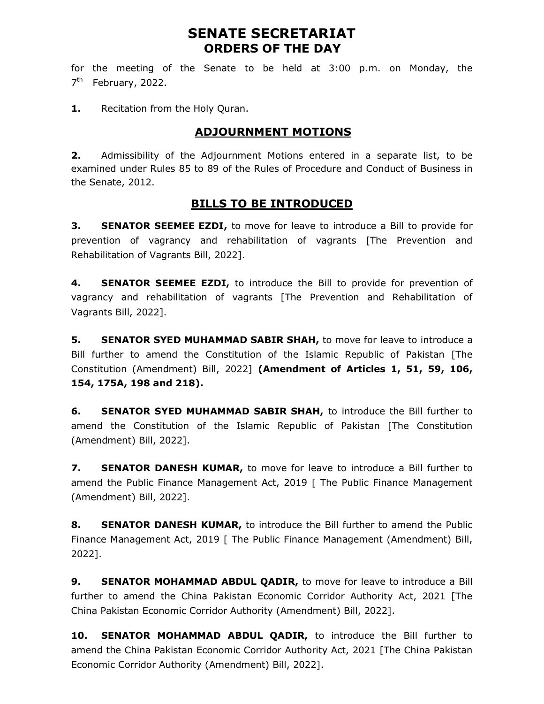## SENATE SECRETARIAT ORDERS OF THE DAY

for the meeting of the Senate to be held at 3:00 p.m. on Monday, the 7<sup>th</sup> February, 2022.

1. Recitation from the Holy Quran.

### ADJOURNMENT MOTIONS

**2.** Admissibility of the Adjournment Motions entered in a separate list, to be examined under Rules 85 to 89 of the Rules of Procedure and Conduct of Business in the Senate, 2012.

#### BILLS TO BE INTRODUCED

**3.** SENATOR SEEMEE EZDI, to move for leave to introduce a Bill to provide for prevention of vagrancy and rehabilitation of vagrants [The Prevention and Rehabilitation of Vagrants Bill, 2022].

4. **SENATOR SEEMEE EZDI,** to introduce the Bill to provide for prevention of vagrancy and rehabilitation of vagrants [The Prevention and Rehabilitation of Vagrants Bill, 2022].

**5.** SENATOR SYED MUHAMMAD SABIR SHAH, to move for leave to introduce a Bill further to amend the Constitution of the Islamic Republic of Pakistan [The Constitution (Amendment) Bill, 2022] (Amendment of Articles 1, 51, 59, 106, 154, 175A, 198 and 218).

**6.** SENATOR SYED MUHAMMAD SABIR SHAH, to introduce the Bill further to amend the Constitution of the Islamic Republic of Pakistan [The Constitution (Amendment) Bill, 2022].

7. SENATOR DANESH KUMAR, to move for leave to introduce a Bill further to amend the Public Finance Management Act, 2019 [ The Public Finance Management (Amendment) Bill, 2022].

8. SENATOR DANESH KUMAR, to introduce the Bill further to amend the Public Finance Management Act, 2019 [ The Public Finance Management (Amendment) Bill, 2022].

9. SENATOR MOHAMMAD ABDUL QADIR, to move for leave to introduce a Bill further to amend the China Pakistan Economic Corridor Authority Act, 2021 [The China Pakistan Economic Corridor Authority (Amendment) Bill, 2022].

10. SENATOR MOHAMMAD ABDUL QADIR, to introduce the Bill further to amend the China Pakistan Economic Corridor Authority Act, 2021 [The China Pakistan Economic Corridor Authority (Amendment) Bill, 2022].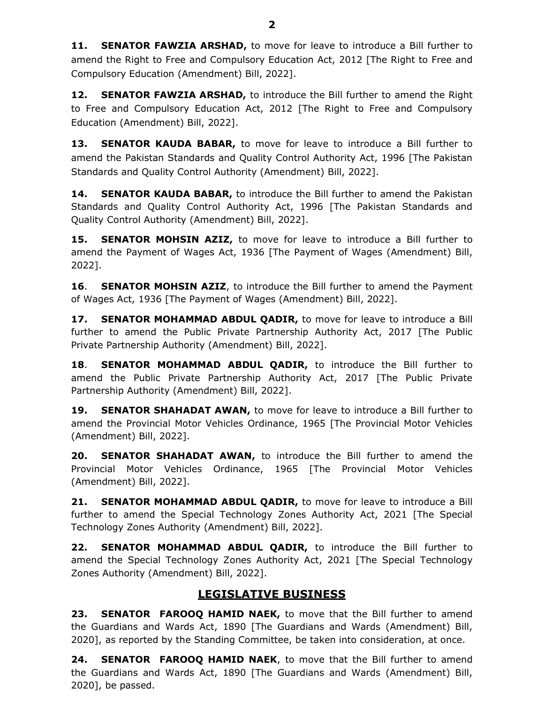11. SENATOR FAWZIA ARSHAD, to move for leave to introduce a Bill further to amend the Right to Free and Compulsory Education Act, 2012 [The Right to Free and Compulsory Education (Amendment) Bill, 2022].

**12. SENATOR FAWZIA ARSHAD,** to introduce the Bill further to amend the Right to Free and Compulsory Education Act, 2012 [The Right to Free and Compulsory Education (Amendment) Bill, 2022].

13. **SENATOR KAUDA BABAR,** to move for leave to introduce a Bill further to amend the Pakistan Standards and Quality Control Authority Act, 1996 [The Pakistan Standards and Quality Control Authority (Amendment) Bill, 2022].

14. SENATOR KAUDA BABAR, to introduce the Bill further to amend the Pakistan Standards and Quality Control Authority Act, 1996 [The Pakistan Standards and Quality Control Authority (Amendment) Bill, 2022].

15. SENATOR MOHSIN AZIZ, to move for leave to introduce a Bill further to amend the Payment of Wages Act, 1936 [The Payment of Wages (Amendment) Bill, 2022].

**16.** SENATOR MOHSIN AZIZ, to introduce the Bill further to amend the Payment of Wages Act, 1936 [The Payment of Wages (Amendment) Bill, 2022].

17. SENATOR MOHAMMAD ABDUL QADIR, to move for leave to introduce a Bill further to amend the Public Private Partnership Authority Act, 2017 [The Public Private Partnership Authority (Amendment) Bill, 2022].

18. SENATOR MOHAMMAD ABDUL QADIR, to introduce the Bill further to amend the Public Private Partnership Authority Act, 2017 [The Public Private Partnership Authority (Amendment) Bill, 2022].

**19. SENATOR SHAHADAT AWAN,** to move for leave to introduce a Bill further to amend the Provincial Motor Vehicles Ordinance, 1965 [The Provincial Motor Vehicles (Amendment) Bill, 2022].

20. SENATOR SHAHADAT AWAN, to introduce the Bill further to amend the Provincial Motor Vehicles Ordinance, 1965 [The Provincial Motor Vehicles (Amendment) Bill, 2022].

21. SENATOR MOHAMMAD ABDUL QADIR, to move for leave to introduce a Bill further to amend the Special Technology Zones Authority Act, 2021 [The Special Technology Zones Authority (Amendment) Bill, 2022].

22. SENATOR MOHAMMAD ABDUL QADIR, to introduce the Bill further to amend the Special Technology Zones Authority Act, 2021 [The Special Technology Zones Authority (Amendment) Bill, 2022].

## LEGISLATIVE BUSINESS

23. SENATOR FAROOQ HAMID NAEK, to move that the Bill further to amend the Guardians and Wards Act, 1890 [The Guardians and Wards (Amendment) Bill, 2020], as reported by the Standing Committee, be taken into consideration, at once.

24. SENATOR FAROOQ HAMID NAEK, to move that the Bill further to amend the Guardians and Wards Act, 1890 [The Guardians and Wards (Amendment) Bill, 2020], be passed.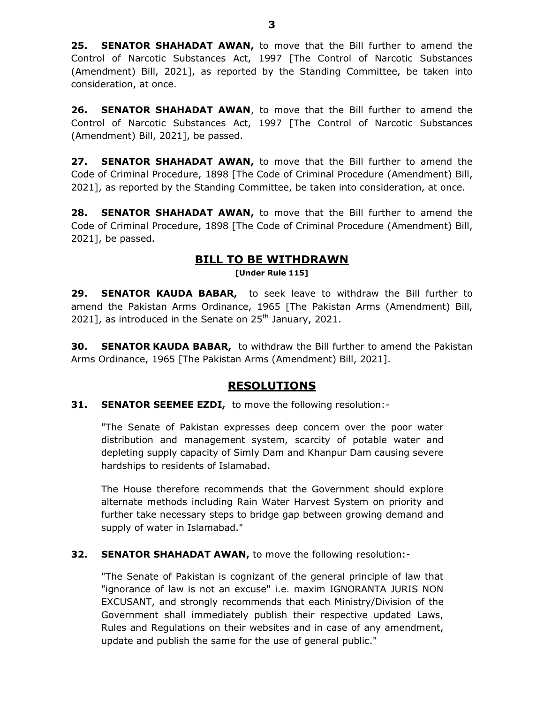25. SENATOR SHAHADAT AWAN, to move that the Bill further to amend the Control of Narcotic Substances Act, 1997 [The Control of Narcotic Substances (Amendment) Bill, 2021], as reported by the Standing Committee, be taken into consideration, at once.

26. SENATOR SHAHADAT AWAN, to move that the Bill further to amend the Control of Narcotic Substances Act, 1997 [The Control of Narcotic Substances (Amendment) Bill, 2021], be passed.

27. SENATOR SHAHADAT AWAN, to move that the Bill further to amend the Code of Criminal Procedure, 1898 [The Code of Criminal Procedure (Amendment) Bill, 2021], as reported by the Standing Committee, be taken into consideration, at once.

28. SENATOR SHAHADAT AWAN, to move that the Bill further to amend the Code of Criminal Procedure, 1898 [The Code of Criminal Procedure (Amendment) Bill, 2021], be passed.

## BILL TO BE WITHDRAWN

[Under Rule 115]

29. SENATOR KAUDA BABAR, to seek leave to withdraw the Bill further to amend the Pakistan Arms Ordinance, 1965 [The Pakistan Arms (Amendment) Bill, 2021], as introduced in the Senate on  $25<sup>th</sup>$  January, 2021.

30. SENATOR KAUDA BABAR, to withdraw the Bill further to amend the Pakistan Arms Ordinance, 1965 [The Pakistan Arms (Amendment) Bill, 2021].

### RESOLUTIONS

#### **31. SENATOR SEEMEE EZDI, to move the following resolution:-**

"The Senate of Pakistan expresses deep concern over the poor water distribution and management system, scarcity of potable water and depleting supply capacity of Simly Dam and Khanpur Dam causing severe hardships to residents of Islamabad.

The House therefore recommends that the Government should explore alternate methods including Rain Water Harvest System on priority and further take necessary steps to bridge gap between growing demand and supply of water in Islamabad."

#### **32. SENATOR SHAHADAT AWAN, to move the following resolution:-**

"The Senate of Pakistan is cognizant of the general principle of law that "ignorance of law is not an excuse" i.e. maxim IGNORANTA JURIS NON EXCUSANT, and strongly recommends that each Ministry/Division of the Government shall immediately publish their respective updated Laws, Rules and Regulations on their websites and in case of any amendment, update and publish the same for the use of general public."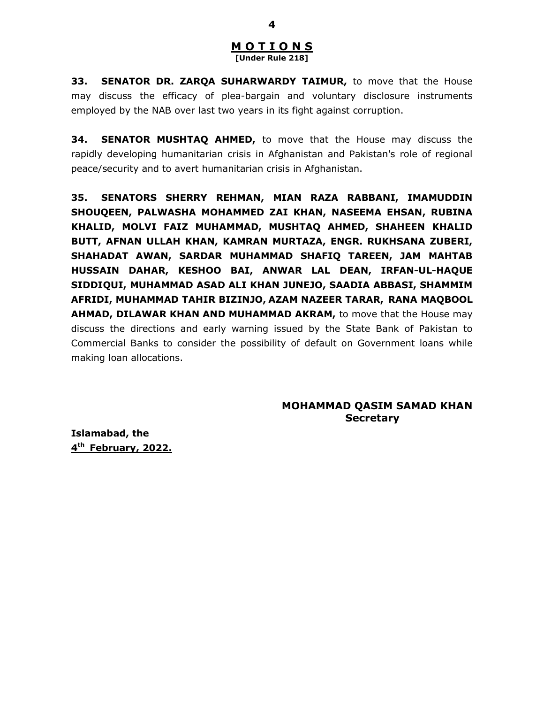#### M O T I O N S [Under Rule 218]

33. SENATOR DR. ZARQA SUHARWARDY TAIMUR, to move that the House may discuss the efficacy of plea-bargain and voluntary disclosure instruments employed by the NAB over last two years in its fight against corruption.

**34. SENATOR MUSHTAQ AHMED,** to move that the House may discuss the rapidly developing humanitarian crisis in Afghanistan and Pakistan's role of regional peace/security and to avert humanitarian crisis in Afghanistan.

35. SENATORS SHERRY REHMAN, MIAN RAZA RABBANI, IMAMUDDIN SHOUQEEN, PALWASHA MOHAMMED ZAI KHAN, NASEEMA EHSAN, RUBINA KHALID, MOLVI FAIZ MUHAMMAD, MUSHTAQ AHMED, SHAHEEN KHALID BUTT, AFNAN ULLAH KHAN, KAMRAN MURTAZA, ENGR. RUKHSANA ZUBERI, SHAHADAT AWAN, SARDAR MUHAMMAD SHAFIQ TAREEN, JAM MAHTAB HUSSAIN DAHAR, KESHOO BAI, ANWAR LAL DEAN, IRFAN-UL-HAQUE SIDDIQUI, MUHAMMAD ASAD ALI KHAN JUNEJO, SAADIA ABBASI, SHAMMIM AFRIDI, MUHAMMAD TAHIR BIZINJO, AZAM NAZEER TARAR, RANA MAQBOOL AHMAD, DILAWAR KHAN AND MUHAMMAD AKRAM, to move that the House may discuss the directions and early warning issued by the State Bank of Pakistan to Commercial Banks to consider the possibility of default on Government loans while making loan allocations.

#### MOHAMMAD QASIM SAMAD KHAN **Secretary**

Islamabad, the 4<sup>th</sup> February, 2022.